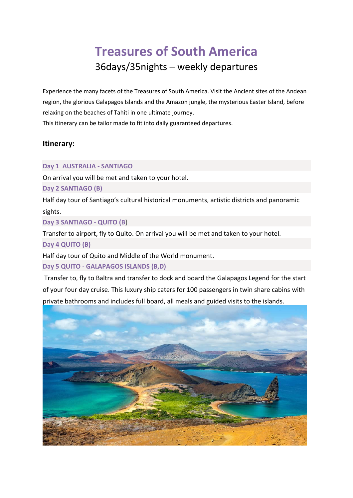# **Treasures of South America** 36days/35nights – weekly departures

Experience the many facets of the Treasures of South America. Visit the Ancient sites of the Andean region, the glorious Galapagos Islands and the Amazon jungle, the mysterious Easter Island, before relaxing on the beaches of Tahiti in one ultimate journey.

This itinerary can be tailor made to fit into daily guaranteed departures.

# **Itinerary:**

#### **Day 1 AUSTRALIA - SANTIAGO**

On arrival you will be met and taken to your hotel.

## **Day 2 SANTIAGO (B)**

Half day tour of Santiago's cultural historical monuments, artistic districts and panoramic sights.

**Day 3 SANTIAGO - QUITO (B)** 

Transfer to airport, fly to Quito. On arrival you will be met and taken to your hotel. **Day 4 QUITO (B)**

Half day tour of Quito and Middle of the World monument.

## **Day 5 QUITO - GALAPAGOS ISLANDS (B,D)**

Transfer to, fly to Baltra and transfer to dock and board the Galapagos Legend for the start of your four day cruise. This luxury ship caters for 100 passengers in twin share cabins with private bathrooms and includes full board, all meals and guided visits to the islands.

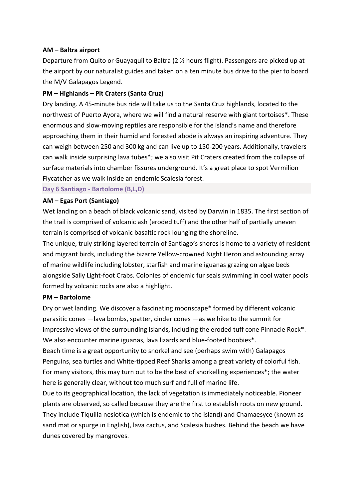#### **AM – Baltra airport**

Departure from Quito or Guayaquil to Baltra (2 ½ hours flight). Passengers are picked up at the airport by our naturalist guides and taken on a ten minute bus drive to the pier to board the M/V Galapagos Legend.

#### **PM – Highlands – Pit Craters (Santa Cruz)**

Dry landing. A 45-minute bus ride will take us to the Santa Cruz highlands, located to the northwest of Puerto Ayora, where we will find a natural reserve with giant tortoises\*. These enormous and slow-moving reptiles are responsible for the island's name and therefore approaching them in their humid and forested abode is always an inspiring adventure. They can weigh between 250 and 300 kg and can live up to 150-200 years. Additionally, travelers can walk inside surprising lava tubes\*; we also visit Pit Craters created from the collapse of surface materials into chamber fissures underground. It's a great place to spot Vermilion Flycatcher as we walk inside an endemic Scalesia forest.

**Day 6 Santiago - Bartolome (B,L,D)**

#### **AM – Egas Port (Santiago)**

Wet landing on a beach of black volcanic sand, visited by Darwin in 1835. The first section of the trail is comprised of volcanic ash (eroded tuff) and the other half of partially uneven terrain is comprised of volcanic basaltic rock lounging the shoreline.

The unique, truly striking layered terrain of Santiago's shores is home to a variety of resident and migrant birds, including the bizarre Yellow-crowned Night Heron and astounding array of marine wildlife including lobster, starfish and marine iguanas grazing on algae beds alongside Sally Light-foot Crabs. Colonies of endemic fur seals swimming in cool water pools formed by volcanic rocks are also a highlight.

#### **PM – Bartolome**

Dry or wet landing. We discover a fascinating moonscape\* formed by different volcanic parasitic cones —lava bombs, spatter, cinder cones —as we hike to the summit for impressive views of the surrounding islands, including the eroded tuff cone Pinnacle Rock\*. We also encounter marine iguanas, lava lizards and blue-footed boobies\*.

Beach time is a great opportunity to snorkel and see (perhaps swim with) Galapagos Penguins, sea turtles and White-tipped Reef Sharks among a great variety of colorful fish. For many visitors, this may turn out to be the best of snorkelling experiences\*; the water here is generally clear, without too much surf and full of marine life.

Due to its geographical location, the lack of vegetation is immediately noticeable. Pioneer plants are observed, so called because they are the first to establish roots on new ground. They include Tiquilia nesiotica (which is endemic to the island) and Chamaesyce (known as sand mat or spurge in English), lava cactus, and Scalesia bushes. Behind the beach we have dunes covered by mangroves.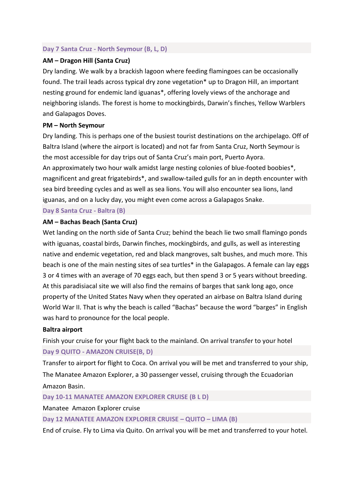### **Day 7 Santa Cruz - North Seymour (B, L, D)**

## **AM – Dragon Hill (Santa Cruz)**

Dry landing. We walk by a brackish lagoon where feeding flamingoes can be occasionally found. The trail leads across typical dry zone vegetation\* up to Dragon Hill, an important nesting ground for endemic land iguanas\*, offering lovely views of the anchorage and neighboring islands. The forest is home to mockingbirds, Darwin's finches, Yellow Warblers and Galapagos Doves.

## **PM – North Seymour**

Dry landing. This is perhaps one of the busiest tourist destinations on the archipelago. Off of Baltra Island (where the airport is located) and not far from Santa Cruz, North Seymour is the most accessible for day trips out of Santa Cruz's main port, Puerto Ayora. An approximately two hour walk amidst large nesting colonies of blue-footed boobies\*, magnificent and great frigatebirds\*, and swallow-tailed gulls for an in depth encounter with sea bird breeding cycles and as well as sea lions. You will also encounter sea lions, land iguanas, and on a lucky day, you might even come across a Galapagos Snake.

**Day 8 Santa Cruz - Baltra (B)**

## **AM – Bachas Beach (Santa Cruz)**

Wet landing on the north side of Santa Cruz; behind the beach lie two small flamingo ponds with iguanas, coastal birds, Darwin finches, mockingbirds, and gulls, as well as interesting native and endemic vegetation, red and black mangroves, salt bushes, and much more. This beach is one of the main nesting sites of sea turtles\* in the Galapagos. A female can lay eggs 3 or 4 times with an average of 70 eggs each, but then spend 3 or 5 years without breeding. At this paradisiacal site we will also find the remains of barges that sank long ago, once property of the United States Navy when they operated an airbase on Baltra Island during World War II. That is why the beach is called "Bachas" because the word "barges" in English was hard to pronounce for the local people.

#### **Baltra airport**

Finish your cruise for your flight back to the mainland. On arrival transfer to your hotel **Day 9 QUITO - AMAZON CRUISE(B, D)**

Transfer to airport for flight to Coca. On arrival you will be met and transferred to your ship, The Manatee Amazon Explorer, a 30 passenger vessel, cruising through the Ecuadorian Amazon Basin.

**Day 10-11 MANATEE AMAZON EXPLORER CRUISE (B L D)** 

Manatee Amazon Explorer cruise

**Day 12 MANATEE AMAZON EXPLORER CRUISE – QUITO – LIMA (B)** 

End of cruise. Fly to Lima via Quito. On arrival you will be met and transferred to your hotel.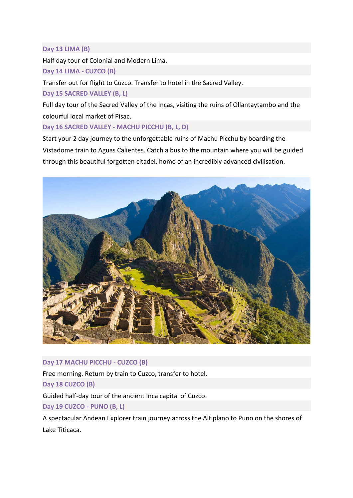## **Day 13 LIMA (B)**

Half day tour of Colonial and Modern Lima.

**Day 14 LIMA - CUZCO (B)** 

Transfer out for flight to Cuzco. Transfer to hotel in the Sacred Valley.

**Day 15 SACRED VALLEY (B, L)** 

Full day tour of the Sacred Valley of the Incas, visiting the ruins of Ollantaytambo and the colourful local market of Pisac.

**Day 16 SACRED VALLEY - MACHU PICCHU (B, L, D)**

Start your 2 day journey to the unforgettable ruins of Machu Picchu by boarding the Vistadome train to Aguas Calientes. Catch a bus to the mountain where you will be guided through this beautiful forgotten citadel, home of an incredibly advanced civilisation.



## **Day 17 MACHU PICCHU - CUZCO (B)**

Free morning. Return by train to Cuzco, transfer to hotel.

**Day 18 CUZCO (B)**

Guided half-day tour of the ancient Inca capital of Cuzco.

**Day 19 CUZCO - PUNO (B, L)**

A spectacular Andean Explorer train journey across the Altiplano to Puno on the shores of Lake Titicaca.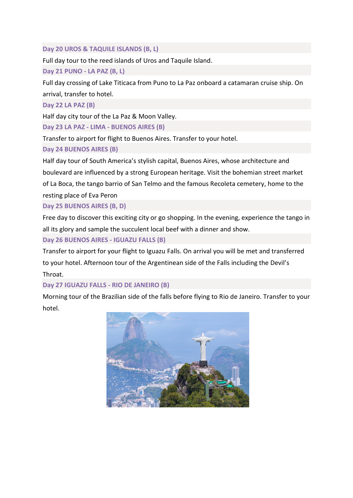## **Day 20 UROS & TAQUILE ISLANDS (B, L)**

Full day tour to the reed islands of Uros and Taquile Island.

**Day 21 PUNO - LA PAZ (B, L)** 

Full day crossing of Lake Titicaca from Puno to La Paz onboard a catamaran cruise ship. On arrival, transfer to hotel.

**Day 22 LA PAZ (B)** 

Half day city tour of the La Paz & Moon Valley.

**Day 23 LA PAZ - LIMA - BUENOS AIRES (B)**

Transfer to airport for flight to Buenos Aires. Transfer to your hotel.

**Day 24 BUENOS AIRES (B)**

Half day tour of South America's stylish capital, Buenos Aires, whose architecture and boulevard are influenced by a strong European heritage. Visit the bohemian street market of La Boca, the tango barrio of San Telmo and the famous Recoleta cemetery, home to the resting place of Eva Peron

**Day 25 BUENOS AIRES (B, D)**

Free day to discover this exciting city or go shopping. In the evening, experience the tango in all its glory and sample the succulent local beef with a dinner and show.

**Day 26 BUENOS AIRES - IGUAZU FALLS (B)**

Transfer to airport for your flight to Iguazu Falls. On arrival you will be met and transferred to your hotel. Afternoon tour of the Argentinean side of the Falls including the Devil's Throat.

**Day 27 IGUAZU FALLS - RIO DE JANEIRO (B)**

Morning tour of the Brazilian side of the falls before flying to Rio de Janeiro. Transfer to your hotel.

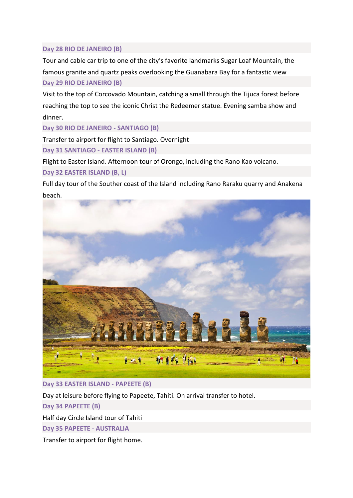## **Day 28 RIO DE JANEIRO (B)**

Tour and cable car trip to one of the city's favorite landmarks Sugar Loaf Mountain, the famous granite and quartz peaks overlooking the Guanabara Bay for a fantastic view **Day 29 RIO DE JANEIRO (B)**

Visit to the top of Corcovado Mountain, catching a small through the Tijuca forest before reaching the top to see the iconic Christ the Redeemer statue. Evening samba show and dinner.

**Day 30 RIO DE JANEIRO - SANTIAGO (B)**

Transfer to airport for flight to Santiago. Overnight

**Day 31 SANTIAGO - EASTER ISLAND (B)**

Flight to Easter Island. Afternoon tour of Orongo, including the Rano Kao volcano.

## **Day 32 EASTER ISLAND (B, L)**

Full day tour of the Souther coast of the Island including Rano Raraku quarry and Anakena beach.



## **Day 33 EASTER ISLAND - PAPEETE (B)**

Day at leisure before flying to Papeete, Tahiti. On arrival transfer to hotel.

**Day 34 PAPEETE (B)**

Half day Circle Island tour of Tahiti

**Day 35 PAPEETE - AUSTRALIA**

Transfer to airport for flight home.